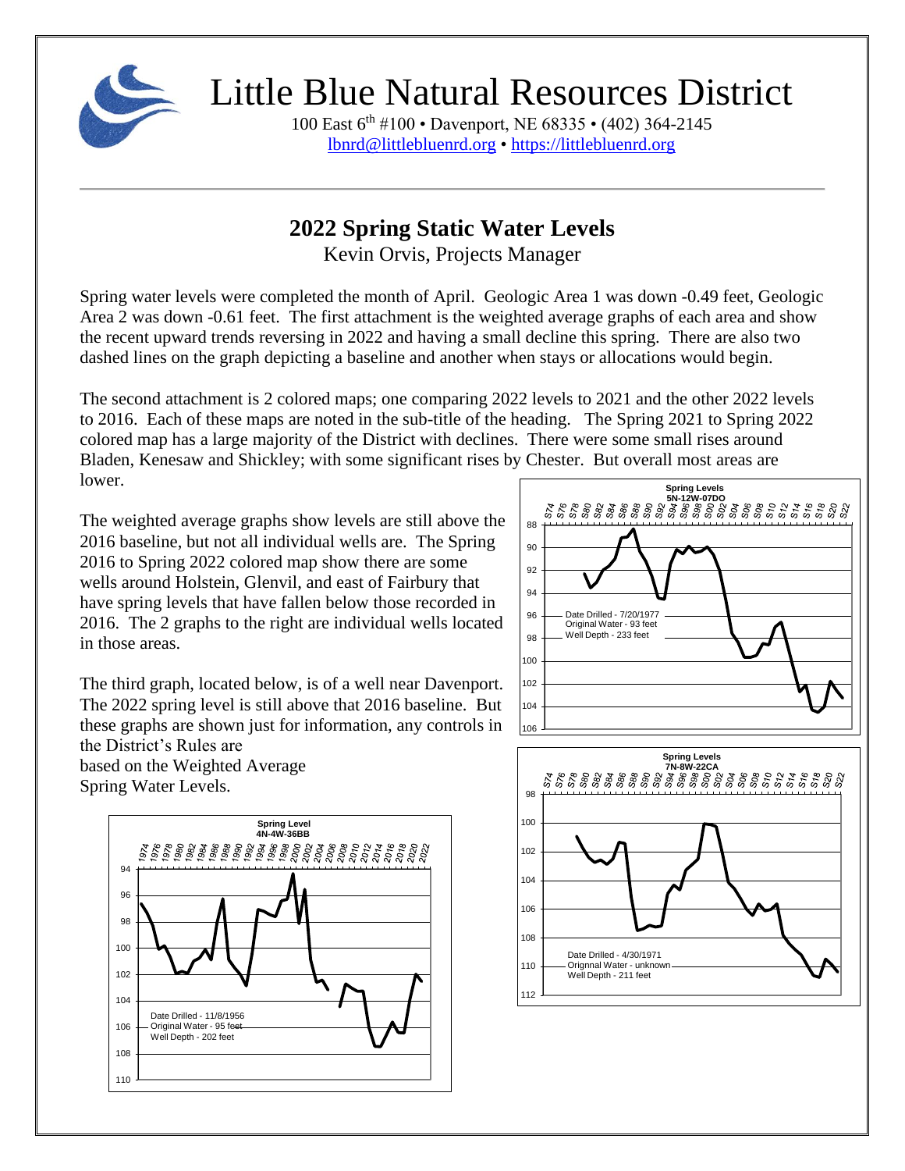

100 East 6th #100 • Davenport, NE 68335 • (402) 364-2145 [lbnrd@littlebluenrd.org](mailto:lbnrd@littlebluenrd.org) • [https://littlebluenrd.org](https://littlebluenrd.org/)

#### **2022 Spring Static Water Levels**

Kevin Orvis, Projects Manager

Spring water levels were completed the month of April. Geologic Area 1 was down -0.49 feet, Geologic Area 2 was down -0.61 feet. The first attachment is the weighted average graphs of each area and show the recent upward trends reversing in 2022 and having a small decline this spring. There are also two dashed lines on the graph depicting a baseline and another when stays or allocations would begin.

The second attachment is 2 colored maps; one comparing 2022 levels to 2021 and the other 2022 levels to 2016. Each of these maps are noted in the sub-title of the heading. The Spring 2021 to Spring 2022 colored map has a large majority of the District with declines. There were some small rises around Bladen, Kenesaw and Shickley; with some significant rises by Chester. But overall most areas are lower.

The weighted average graphs show levels are still above the 2016 baseline, but not all individual wells are. The Spring 2016 to Spring 2022 colored map show there are some wells around Holstein, Glenvil, and east of Fairbury that have spring levels that have fallen below those recorded in 2016. The 2 graphs to the right are individual wells located in those areas.

The third graph, located below, is of a well near Davenport. The 2022 spring level is still above that 2016 baseline. But these graphs are shown just for information, any controls in the District's Rules are

based on the Weighted Average Spring Water Levels.





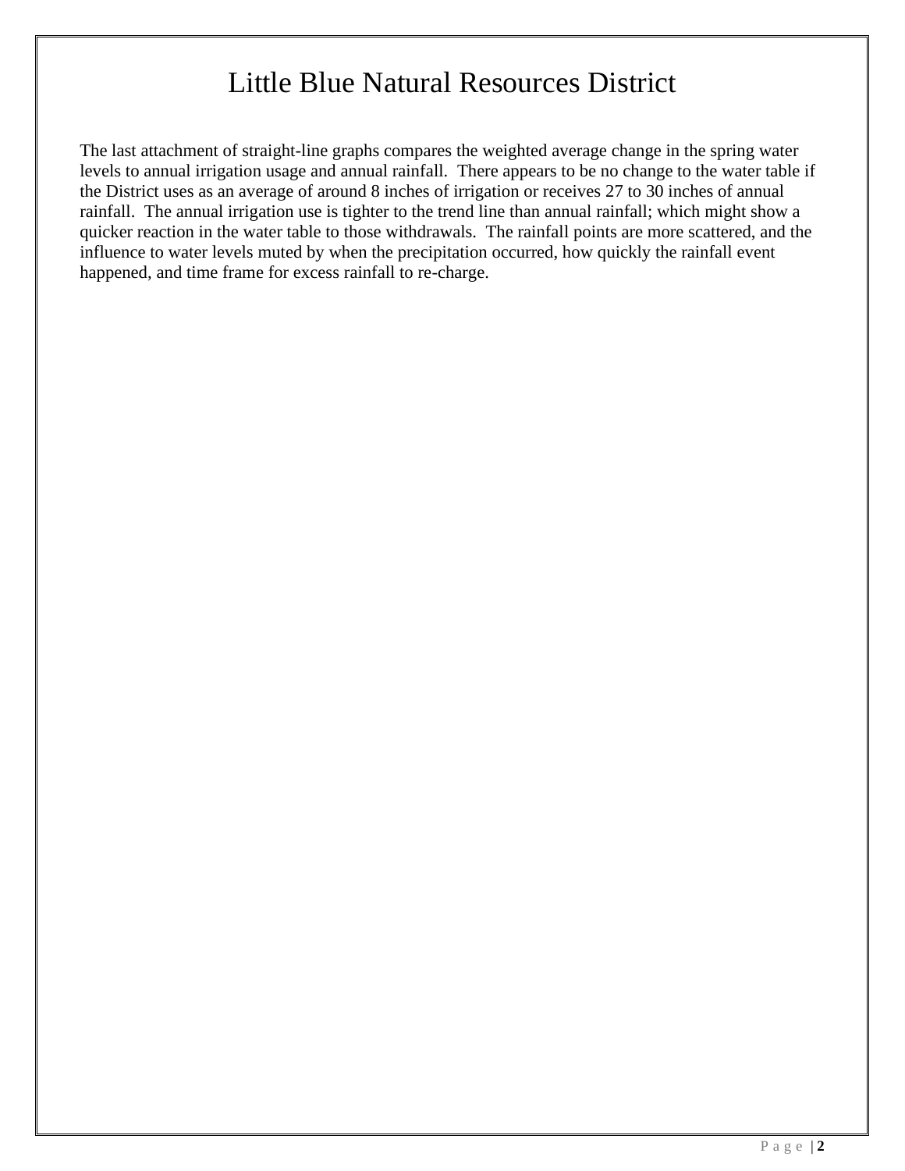The last attachment of straight-line graphs compares the weighted average change in the spring water levels to annual irrigation usage and annual rainfall. There appears to be no change to the water table if the District uses as an average of around 8 inches of irrigation or receives 27 to 30 inches of annual rainfall. The annual irrigation use is tighter to the trend line than annual rainfall; which might show a quicker reaction in the water table to those withdrawals. The rainfall points are more scattered, and the influence to water levels muted by when the precipitation occurred, how quickly the rainfall event happened, and time frame for excess rainfall to re-charge.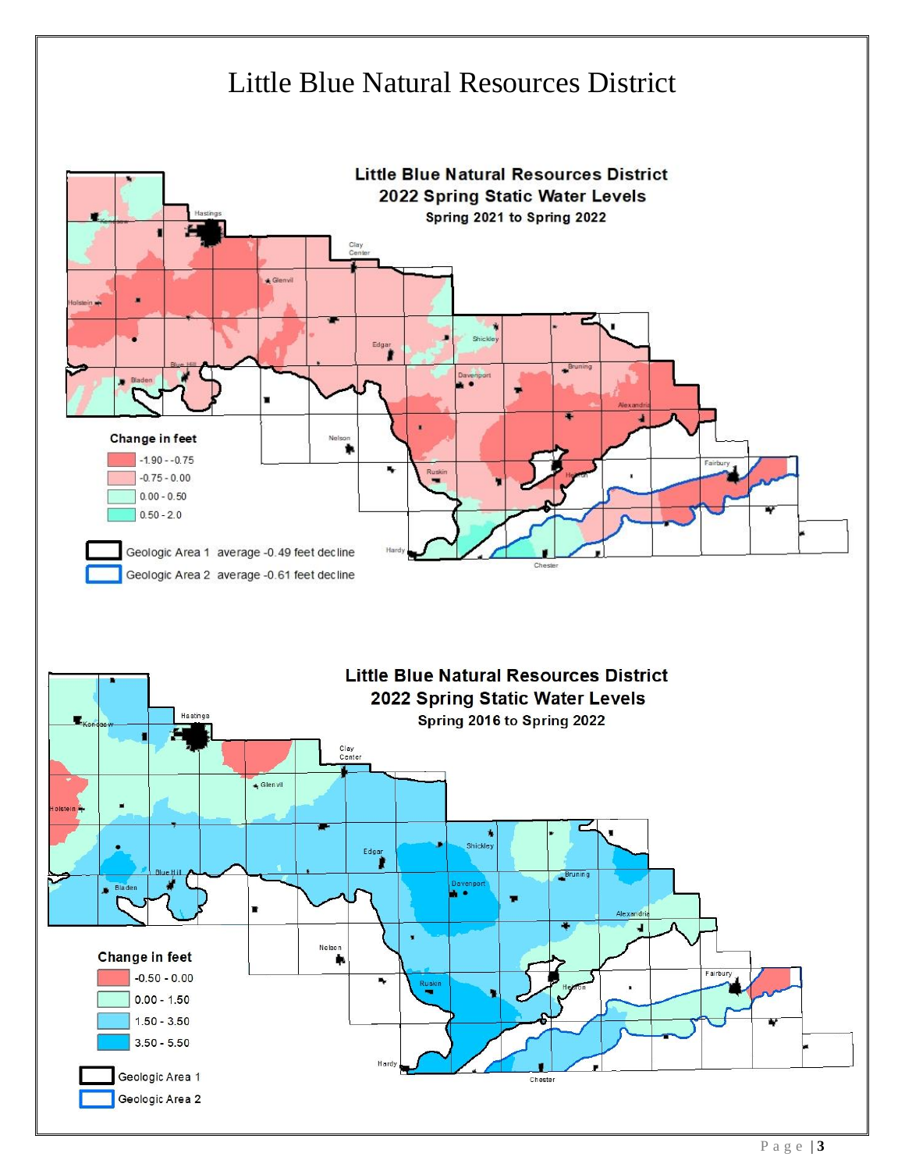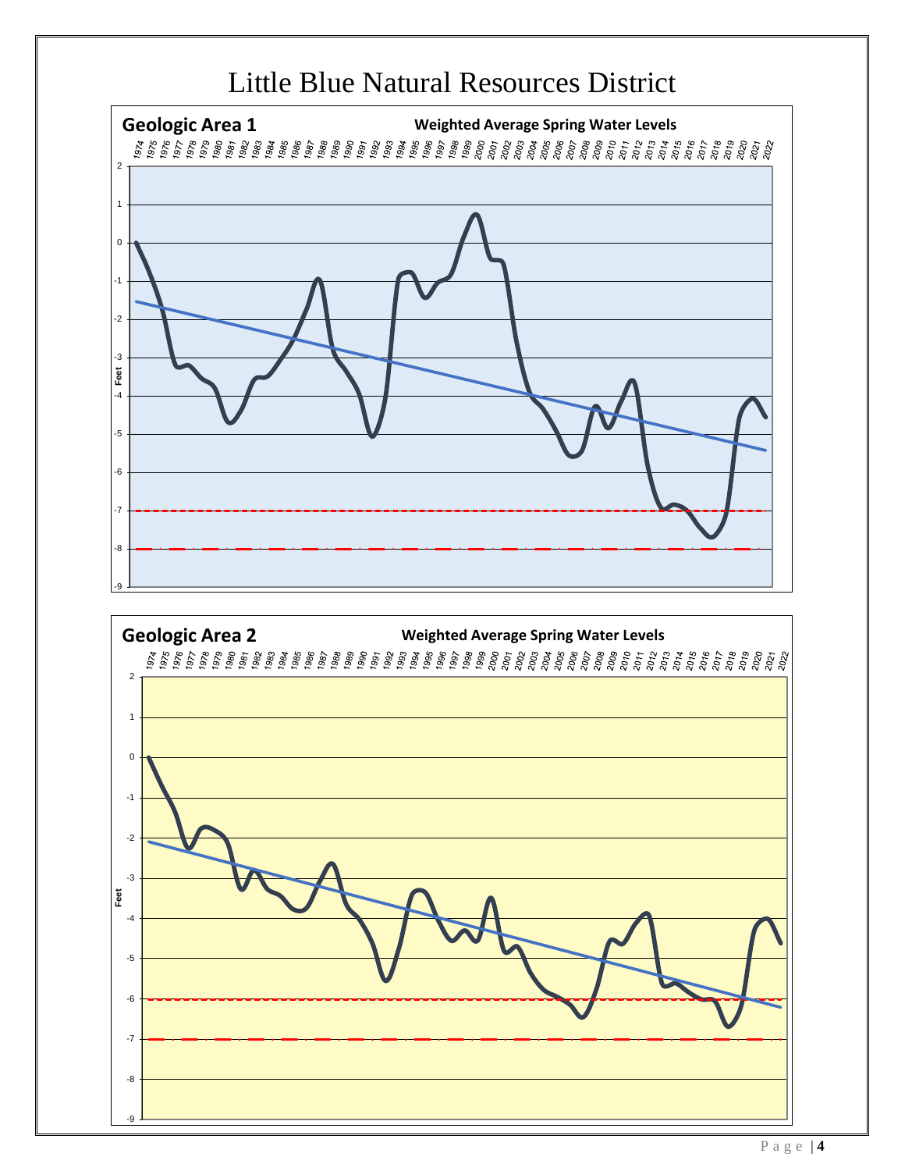